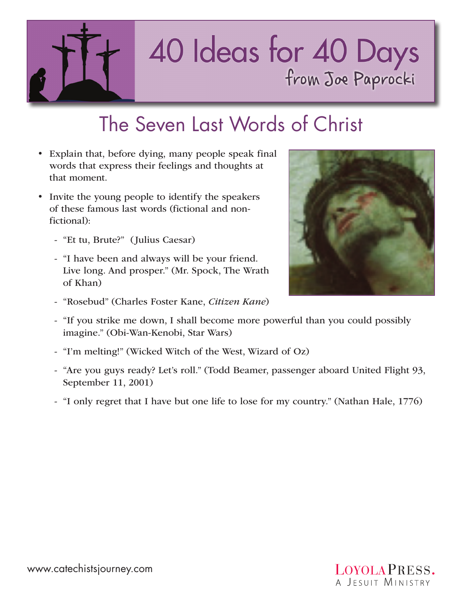

## 40 Ideas for 40 Days<br>from Joe Paprocki

## The Seven Last Words of Christ

- Explain that, before dying, many people speak final words that express their feelings and thoughts at that moment.
- Invite the young people to identify the speakers of these famous last words (fictional and nonfictional):
	- "Et tu, Brute?" (Julius Caesar)
	- "I have been and always will be your friend. Live long. And prosper." (Mr. Spock, The Wrath of Khan)
	- "Rosebud" (Charles Foster Kane, *Citizen Kane*)



- "I'm melting!" (Wicked Witch of the West, Wizard of Oz)
- "Are you guys ready? Let's roll." (Todd Beamer, passenger aboard United Flight 93, September 11, 2001)
- "I only regret that I have but one life to lose for my country." (Nathan Hale, 1776)